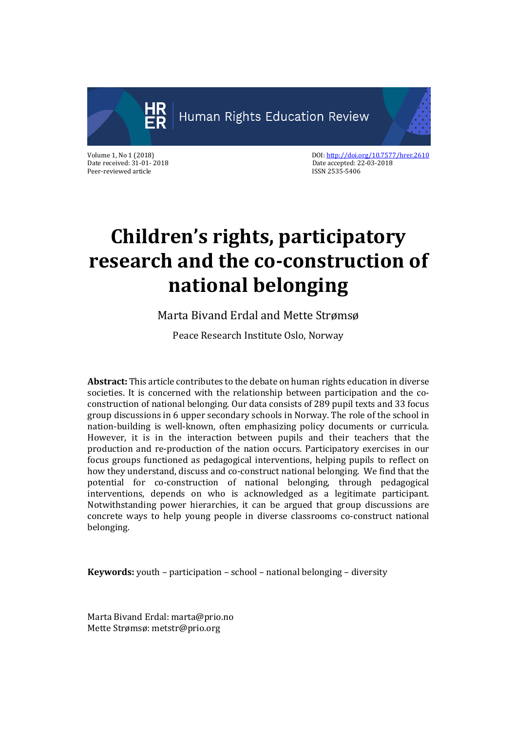

Peer-reviewed article ISSN 2535-5406

Volume 1, No 1 (2018) **DOI:** <http://doi.org/10.7577/hrer.2610> Date received: 31-01- 2018 Date accepted: 22-03-2018

# **Children's rights, participatory research and the co-construction of national belonging**

Marta Bivand Erdal and Mette Strømsø

Peace Research Institute Oslo, Norway

**Abstract:** This article contributes to the debate on human rights education in diverse societies. It is concerned with the relationship between participation and the coconstruction of national belonging. Our data consists of 289 pupil texts and 33 focus group discussions in 6 upper secondary schools in Norway. The role of the school in nation-building is well-known, often emphasizing policy documents or curricula. However, it is in the interaction between pupils and their teachers that the production and re-production of the nation occurs. Participatory exercises in our focus groups functioned as pedagogical interventions, helping pupils to reflect on how they understand, discuss and co-construct national belonging. We find that the potential for co-construction of national belonging, through pedagogical interventions, depends on who is acknowledged as a legitimate participant. Notwithstanding power hierarchies, it can be argued that group discussions are concrete ways to help young people in diverse classrooms co-construct national belonging.

**Keywords:** youth – participation – school – national belonging – diversity

Marta Bivand Erdal: marta@prio.no Mette Strømsø: metstr@prio.org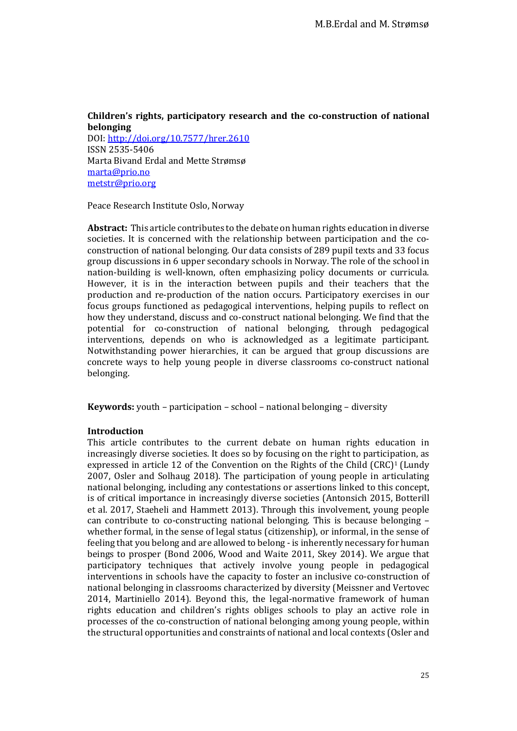## **Children's rights, participatory research and the co-construction of national belonging**

DOI: <http://doi.org/10.7577/hrer.2610> ISSN 2535-5406 Marta Bivand Erdal and Mette Strømsø [marta@prio.no](mailto:marta@prio.no) [metstr@prio.org](mailto:metstr@prio.org)

Peace Research Institute Oslo, Norway

**Abstract:** This article contributes to the debate on human rights education in diverse societies. It is concerned with the relationship between participation and the coconstruction of national belonging. Our data consists of 289 pupil texts and 33 focus group discussions in 6 upper secondary schools in Norway. The role of the school in nation-building is well-known, often emphasizing policy documents or curricula. However, it is in the interaction between pupils and their teachers that the production and re-production of the nation occurs. Participatory exercises in our focus groups functioned as pedagogical interventions, helping pupils to reflect on how they understand, discuss and co-construct national belonging. We find that the potential for co-construction of national belonging, through pedagogical interventions, depends on who is acknowledged as a legitimate participant. Notwithstanding power hierarchies, it can be argued that group discussions are concrete ways to help young people in diverse classrooms co-construct national belonging.

**Keywords:** youth – participation – school – national belonging – diversity

## **Introduction**

This article contributes to the current debate on human rights education in increasingly diverse societies. It does so by focusing on the right to participation, as expressed in article 12 of the Convention on the Rights of the Child (CRC)<sup>1</sup> (Lundy 2007, Osler and Solhaug 2018). The participation of young people in articulating national belonging, including any contestations or assertions linked to this concept, is of critical importance in increasingly diverse societies (Antonsich 2015, Botterill et al. 2017, Staeheli and Hammett 2013). Through this involvement, young people can contribute to co-constructing national belonging. This is because belonging – whether formal, in the sense of legal status (citizenship), or informal, in the sense of feeling that you belong and are allowed to belong - is inherently necessary for human beings to prosper (Bond 2006, Wood and Waite 2011, Skey 2014). We argue that participatory techniques that actively involve young people in pedagogical interventions in schools have the capacity to foster an inclusive co-construction of national belonging in classrooms characterized by diversity (Meissner and Vertovec 2014, Martiniello 2014). Beyond this, the legal-normative framework of human rights education and children's rights obliges schools to play an active role in processes of the co-construction of national belonging among young people, within the structural opportunities and constraints of national and local contexts (Osler and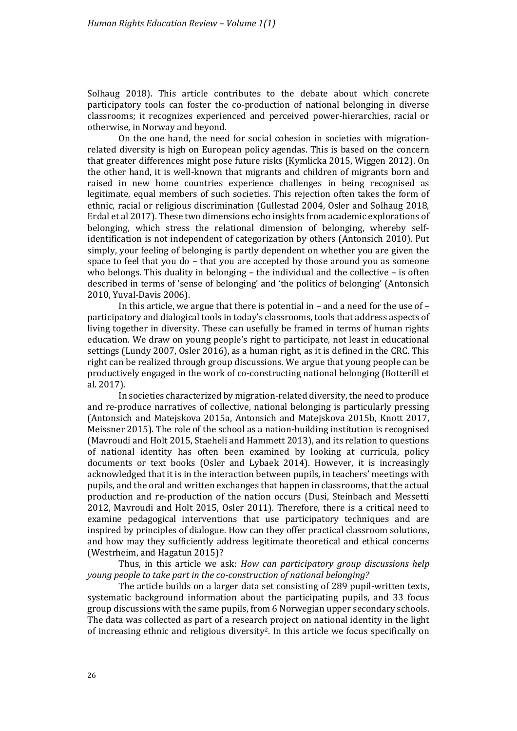Solhaug 2018). This article contributes to the debate about which concrete participatory tools can foster the co-production of national belonging in diverse classrooms; it recognizes experienced and perceived power-hierarchies, racial or otherwise, in Norway and beyond.

On the one hand, the need for social cohesion in societies with migrationrelated diversity is high on European policy agendas. This is based on the concern that greater differences might pose future risks (Kymlicka 2015, Wiggen 2012). On the other hand, it is well-known that migrants and children of migrants born and raised in new home countries experience challenges in being recognised as legitimate, equal members of such societies. This rejection often takes the form of ethnic, racial or religious discrimination (Gullestad 2004, Osler and Solhaug 2018, Erdal et al 2017). These two dimensions echo insights from academic explorations of belonging, which stress the relational dimension of belonging, whereby selfidentification is not independent of categorization by others (Antonsich 2010). Put simply, your feeling of belonging is partly dependent on whether you are given the space to feel that you do – that you are accepted by those around you as someone who belongs. This duality in belonging – the individual and the collective – is often described in terms of 'sense of belonging' and 'the politics of belonging' (Antonsich 2010, Yuval-Davis 2006).

In this article, we argue that there is potential in – and a need for the use of – participatory and dialogical tools in today's classrooms, tools that address aspects of living together in diversity. These can usefully be framed in terms of human rights education. We draw on young people's right to participate, not least in educational settings (Lundy 2007, Osler 2016), as a human right, as it is defined in the CRC. This right can be realized through group discussions. We argue that young people can be productively engaged in the work of co-constructing national belonging (Botterill et al. 2017).

In societies characterized by migration-related diversity, the need to produce and re-produce narratives of collective, national belonging is particularly pressing (Antonsich and Matejskova 2015a, Antonsich and Matejskova 2015b, Knott 2017, Meissner 2015). The role of the school as a nation-building institution is recognised (Mavroudi and Holt 2015, Staeheli and Hammett 2013), and its relation to questions of national identity has often been examined by looking at curricula, policy documents or text books (Osler and Lybaek 2014). However, it is increasingly acknowledged that it is in the interaction between pupils, in teachers' meetings with pupils, and the oral and written exchanges that happen in classrooms, that the actual production and re-production of the nation occurs (Dusi, Steinbach and Messetti 2012, Mavroudi and Holt 2015, Osler 2011). Therefore, there is a critical need to examine pedagogical interventions that use participatory techniques and are inspired by principles of dialogue. How can they offer practical classroom solutions, and how may they sufficiently address legitimate theoretical and ethical concerns (Westrheim, and Hagatun 2015)?

Thus, in this article we ask: *How can participatory group discussions help young people to take part in the co-construction of national belonging?*

The article builds on a larger data set consisting of 289 pupil-written texts, systematic background information about the participating pupils, and 33 focus group discussions with the same pupils, from 6 Norwegian upper secondary schools. The data was collected as part of a research project on national identity in the light of increasing ethnic and religious diversity2. In this article we focus specifically on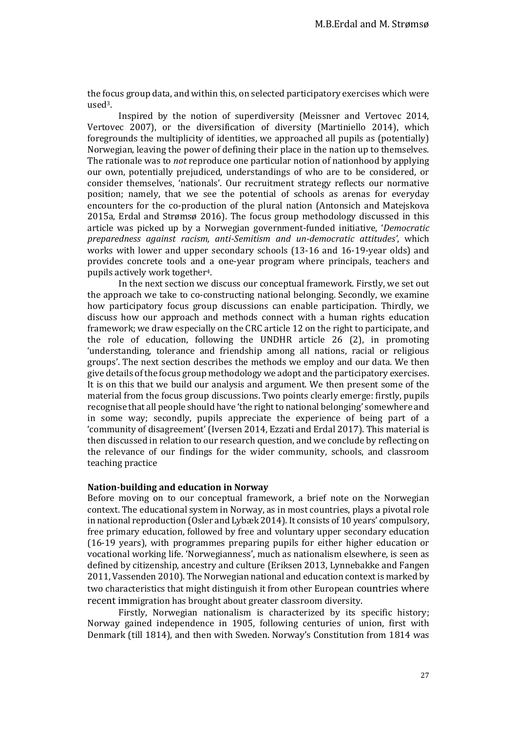the focus group data, and within this, on selected participatory exercises which were used3.

Inspired by the notion of superdiversity (Meissner and Vertovec 2014, Vertovec 2007), or the diversification of diversity (Martiniello 2014), which foregrounds the multiplicity of identities, we approached all pupils as (potentially) Norwegian, leaving the power of defining their place in the nation up to themselves. The rationale was to *not* reproduce one particular notion of nationhood by applying our own, potentially prejudiced, understandings of who are to be considered, or consider themselves, 'nationals'. Our recruitment strategy reflects our normative position; namely, that we see the potential of schools as arenas for everyday encounters for the co-production of the plural nation (Antonsich and Matejskova 2015a, Erdal and Strømsø 2016). The focus group methodology discussed in this article was picked up by a Norwegian government-funded initiative, '*Democratic preparedness against racism, anti-Semitism and un-democratic attitudes'*, which works with lower and upper secondary schools (13-16 and 16-19-year olds) and provides concrete tools and a one-year program where principals, teachers and pupils actively work together4.

In the next section we discuss our conceptual framework. Firstly, we set out the approach we take to co-constructing national belonging. Secondly, we examine how participatory focus group discussions can enable participation. Thirdly, we discuss how our approach and methods connect with a human rights education framework; we draw especially on the CRC article 12 on the right to participate, and the role of education, following the UNDHR article 26 (2), in promoting 'understanding, tolerance and friendship among all nations, racial or religious groups'. The next section describes the methods we employ and our data. We then give details of the focus group methodology we adopt and the participatory exercises. It is on this that we build our analysis and argument. We then present some of the material from the focus group discussions. Two points clearly emerge: firstly, pupils recognise that all people should have 'the right to national belonging' somewhere and in some way; secondly, pupils appreciate the experience of being part of a 'community of disagreement' (Iversen 2014, Ezzati and Erdal 2017). This material is then discussed in relation to our research question, and we conclude by reflecting on the relevance of our findings for the wider community, schools, and classroom teaching practice

#### **Nation-building and education in Norway**

Before moving on to our conceptual framework, a brief note on the Norwegian context. The educational system in Norway, as in most countries, plays a pivotal role in national reproduction (Osler and Lybæk 2014). It consists of 10 years' compulsory, free primary education, followed by free and voluntary upper secondary education (16-19 years), with programmes preparing pupils for either higher education or vocational working life. 'Norwegianness', much as nationalism elsewhere, is seen as defined by citizenship, ancestry and culture (Eriksen 2013, Lynnebakke and Fangen 2011, Vassenden 2010). The Norwegian national and education context is marked by two characteristics that might distinguish it from other European countries where recent immigration has brought about greater classroom diversity.

Firstly, Norwegian nationalism is characterized by its specific history; Norway gained independence in 1905, following centuries of union, first with Denmark (till 1814), and then with Sweden. Norway's Constitution from 1814 was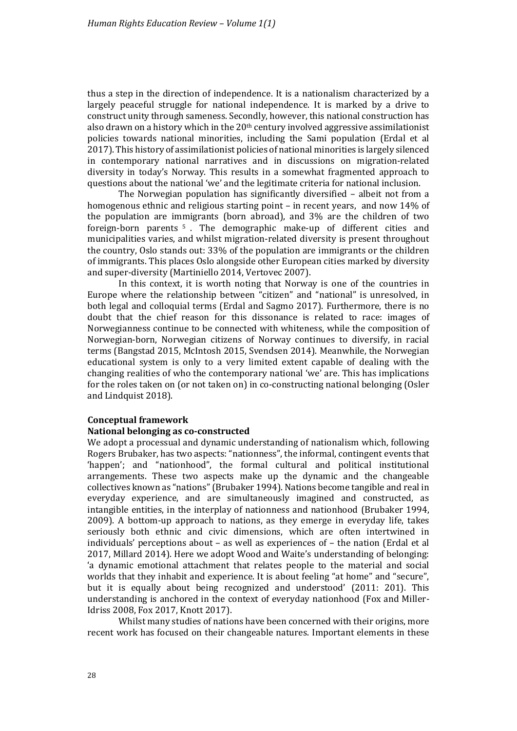thus a step in the direction of independence. It is a nationalism characterized by a largely peaceful struggle for national independence. It is marked by a drive to construct unity through sameness. Secondly, however, this national construction has also drawn on a history which in the  $20<sup>th</sup>$  century involved aggressive assimilationist policies towards national minorities, including the Sami population (Erdal et al 2017). This history of assimilationist policies of national minorities is largely silenced in contemporary national narratives and in discussions on migration-related diversity in today's Norway. This results in a somewhat fragmented approach to questions about the national 'we' and the legitimate criteria for national inclusion.

The Norwegian population has significantly diversified – albeit not from a homogenous ethnic and religious starting point – in recent years, and now 14% of the population are immigrants (born abroad), and 3% are the children of two foreign-born parents <sup>5</sup> . The demographic make-up of different cities and municipalities varies, and whilst migration-related diversity is present throughout the country, Oslo stands out: 33% of the population are immigrants or the children of immigrants. This places Oslo alongside other European cities marked by diversity and super-diversity (Martiniello 2014, Vertovec 2007).

In this context, it is worth noting that Norway is one of the countries in Europe where the relationship between "citizen" and "national" is unresolved, in both legal and colloquial terms (Erdal and Sagmo 2017). Furthermore, there is no doubt that the chief reason for this dissonance is related to race: images of Norwegianness continue to be connected with whiteness, while the composition of Norwegian-born, Norwegian citizens of Norway continues to diversify, in racial terms (Bangstad 2015, McIntosh 2015, Svendsen 2014). Meanwhile, the Norwegian educational system is only to a very limited extent capable of dealing with the changing realities of who the contemporary national 'we' are. This has implications for the roles taken on (or not taken on) in co-constructing national belonging (Osler and Lindquist 2018).

#### **Conceptual framework**

#### **National belonging as co-constructed**

We adopt a processual and dynamic understanding of nationalism which, following Rogers Brubaker, has two aspects: "nationness", the informal, contingent events that 'happen'; and "nationhood", the formal cultural and political institutional arrangements. These two aspects make up the dynamic and the changeable collectives known as "nations" (Brubaker 1994). Nations become tangible and real in everyday experience, and are simultaneously imagined and constructed, as intangible entities, in the interplay of nationness and nationhood (Brubaker 1994, 2009). A bottom-up approach to nations, as they emerge in everyday life, takes seriously both ethnic and civic dimensions, which are often intertwined in individuals' perceptions about – as well as experiences of – the nation (Erdal et al 2017, Millard 2014). Here we adopt Wood and Waite's understanding of belonging: 'a dynamic emotional attachment that relates people to the material and social worlds that they inhabit and experience. It is about feeling "at home" and "secure", but it is equally about being recognized and understood' (2011: 201). This understanding is anchored in the context of everyday nationhood (Fox and Miller-Idriss 2008, Fox 2017, Knott 2017).

Whilst many studies of nations have been concerned with their origins, more recent work has focused on their changeable natures. Important elements in these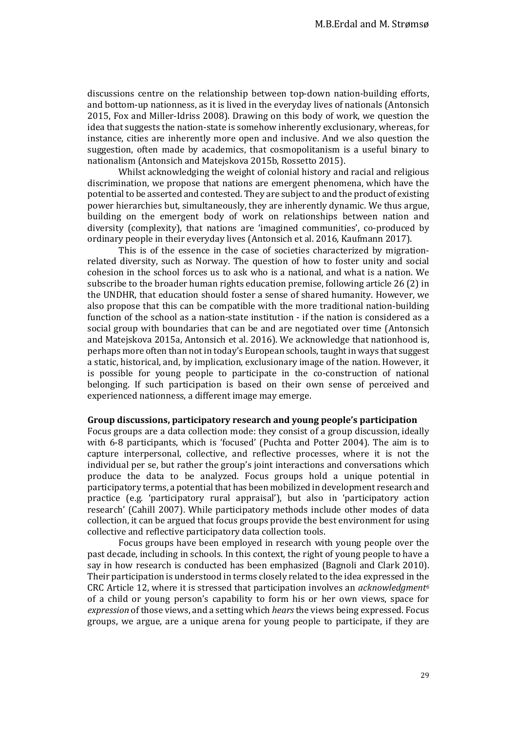discussions centre on the relationship between top-down nation-building efforts, and bottom-up nationness, as it is lived in the everyday lives of nationals (Antonsich 2015, Fox and Miller-Idriss 2008). Drawing on this body of work, we question the idea that suggests the nation-state is somehow inherently exclusionary, whereas, for instance, cities are inherently more open and inclusive. And we also question the suggestion, often made by academics, that cosmopolitanism is a useful binary to nationalism (Antonsich and Matejskova 2015b, Rossetto 2015).

Whilst acknowledging the weight of colonial history and racial and religious discrimination, we propose that nations are emergent phenomena, which have the potential to be asserted and contested. They are subject to and the product of existing power hierarchies but, simultaneously, they are inherently dynamic. We thus argue, building on the emergent body of work on relationships between nation and diversity (complexity), that nations are 'imagined communities', co-produced by ordinary people in their everyday lives (Antonsich et al. 2016, Kaufmann 2017).

This is of the essence in the case of societies characterized by migrationrelated diversity, such as Norway. The question of how to foster unity and social cohesion in the school forces us to ask who is a national, and what is a nation. We subscribe to the broader human rights education premise, following article 26 (2) in the UNDHR, that education should foster a sense of shared humanity. However, we also propose that this can be compatible with the more traditional nation-building function of the school as a nation-state institution - if the nation is considered as a social group with boundaries that can be and are negotiated over time (Antonsich and Matejskova 2015a, Antonsich et al. 2016). We acknowledge that nationhood is, perhaps more often than not in today's European schools, taught in ways that suggest a static, historical, and, by implication, exclusionary image of the nation. However, it is possible for young people to participate in the co-construction of national belonging. If such participation is based on their own sense of perceived and experienced nationness, a different image may emerge.

#### **Group discussions, participatory research and young people's participation**

Focus groups are a data collection mode: they consist of a group discussion, ideally with 6-8 participants, which is 'focused' (Puchta and Potter 2004). The aim is to capture interpersonal, collective, and reflective processes, where it is not the individual per se, but rather the group's joint interactions and conversations which produce the data to be analyzed. Focus groups hold a unique potential in participatory terms, a potential that has been mobilized in development research and practice (e.g. 'participatory rural appraisal'), but also in 'participatory action research' (Cahill 2007). While participatory methods include other modes of data collection, it can be argued that focus groups provide the best environment for using collective and reflective participatory data collection tools.

Focus groups have been employed in research with young people over the past decade, including in schools. In this context, the right of young people to have a say in how research is conducted has been emphasized (Bagnoli and Clark 2010). Their participation is understood in terms closely related to the idea expressed in the CRC Article 12, where it is stressed that participation involves an *acknowledgment<sup>6</sup>* of a child or young person's capability to form his or her own views, space for *expression* of those views, and a setting which *hears*the views being expressed. Focus groups, we argue, are a unique arena for young people to participate, if they are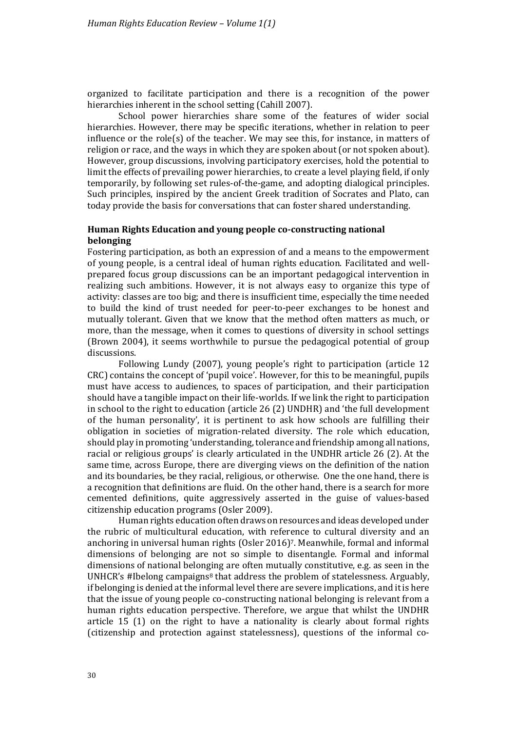organized to facilitate participation and there is a recognition of the power hierarchies inherent in the school setting (Cahill 2007).

School power hierarchies share some of the features of wider social hierarchies. However, there may be specific iterations, whether in relation to peer influence or the role(s) of the teacher. We may see this, for instance, in matters of religion or race, and the ways in which they are spoken about (or not spoken about). However, group discussions, involving participatory exercises, hold the potential to limit the effects of prevailing power hierarchies, to create a level playing field, if only temporarily, by following set rules-of-the-game, and adopting dialogical principles. Such principles, inspired by the ancient Greek tradition of Socrates and Plato, can today provide the basis for conversations that can foster shared understanding.

## **Human Rights Education and young people co-constructing national belonging**

Fostering participation, as both an expression of and a means to the empowerment of young people, is a central ideal of human rights education. Facilitated and wellprepared focus group discussions can be an important pedagogical intervention in realizing such ambitions. However, it is not always easy to organize this type of activity: classes are too big; and there is insufficient time, especially the time needed to build the kind of trust needed for peer-to-peer exchanges to be honest and mutually tolerant. Given that we know that the method often matters as much, or more, than the message, when it comes to questions of diversity in school settings (Brown 2004), it seems worthwhile to pursue the pedagogical potential of group discussions.

Following Lundy (2007), young people's right to participation (article 12 CRC) contains the concept of 'pupil voice'. However, for this to be meaningful, pupils must have access to audiences, to spaces of participation, and their participation should have a tangible impact on their life-worlds. If we link the right to participation in school to the right to education (article 26 (2) UNDHR) and 'the full development of the human personality', it is pertinent to ask how schools are fulfilling their obligation in societies of migration-related diversity. The role which education, should play in promoting 'understanding, tolerance and friendship among all nations, racial or religious groups' is clearly articulated in the UNDHR article 26 (2). At the same time, across Europe, there are diverging views on the definition of the nation and its boundaries, be they racial, religious, or otherwise. One the one hand, there is a recognition that definitions are fluid. On the other hand, there is a search for more cemented definitions, quite aggressively asserted in the guise of values-based citizenship education programs (Osler 2009).

Human rights education often draws on resources and ideas developed under the rubric of multicultural education, with reference to cultural diversity and an anchoring in universal human rights (Osler 2016)7. Meanwhile, formal and informal dimensions of belonging are not so simple to disentangle. Formal and informal dimensions of national belonging are often mutually constitutive, e.g. as seen in the UNHCR's #Ibelong campaigns<sup>8</sup> that address the problem of statelessness. Arguably, if belonging is denied at the informal level there are severe implications, and it is here that the issue of young people co-constructing national belonging is relevant from a human rights education perspective. Therefore, we argue that whilst the UNDHR article 15 (1) on the right to have a nationality is clearly about formal rights (citizenship and protection against statelessness), questions of the informal co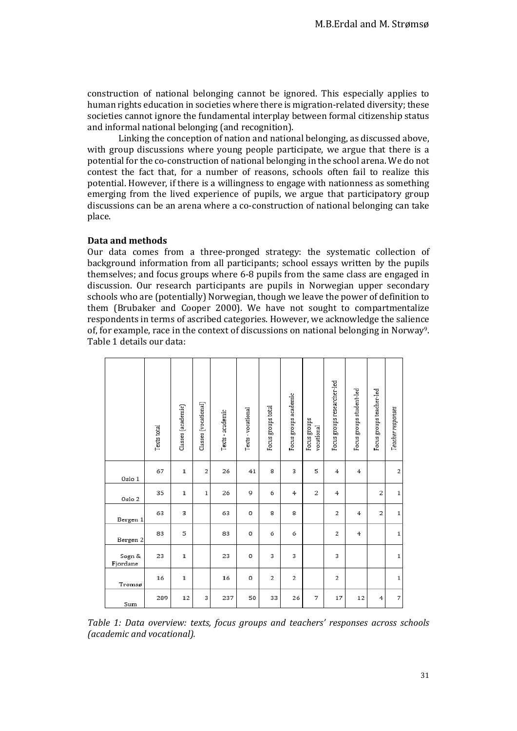construction of national belonging cannot be ignored. This especially applies to human rights education in societies where there is migration-related diversity; these societies cannot ignore the fundamental interplay between formal citizenship status and informal national belonging (and recognition).

Linking the conception of nation and national belonging, as discussed above, with group discussions where young people participate, we argue that there is a potential for the co-construction of national belonging in the school arena. We do not contest the fact that, for a number of reasons, schools often fail to realize this potential. However, if there is a willingness to engage with nationness as something emerging from the lived experience of pupils, we argue that participatory group discussions can be an arena where a co-construction of national belonging can take place.

#### **Data and methods**

Our data comes from a three-pronged strategy: the systematic collection of background information from all participants; school essays written by the pupils themselves; and focus groups where 6-8 pupils from the same class are engaged in discussion. Our research participants are pupils in Norwegian upper secondary schools who are (potentially) Norwegian, though we leave the power of definition to them (Brubaker and Cooper 2000). We have not sought to compartmentalize respondents in terms of ascribed categories. However, we acknowledge the salience of, for example, race in the context of discussions on national belonging in Norway9. Table 1 details our data:

|                    | Texts total | Classes (academic) | Classes (vocational) | Texts - academic | Texts - vocational | Focus groups total | Focus groups academic | Focus groups<br>vocational | Focus groups researcher-led | Focus groups student-led | Focus groups teacher-led | Teacher responses       |
|--------------------|-------------|--------------------|----------------------|------------------|--------------------|--------------------|-----------------------|----------------------------|-----------------------------|--------------------------|--------------------------|-------------------------|
| Oslo 1             | 67          | $\,1$              | 2                    | 26               | 41                 | 8                  | 3                     | 5                          | 4                           | 4                        |                          | $\overline{\mathbf{c}}$ |
| Oslo 2             | 35          | $\,1\,$            | $\mathbf 1$          | 26               | 9                  | 6                  | $\overline{4}$        | 2                          | $\overline{4}$              |                          | 2                        | $\,1\,$                 |
| Bergen 1           | 63          | 3                  |                      | 63               | 0                  | 8                  | 8                     |                            | 2                           | 4                        | 2                        | $\mathbf 1$             |
| Bergen 2           | 83          | 5                  |                      | 83               | 0                  | 6                  | 6                     |                            | 2                           | 4                        |                          | $\,1$                   |
| Sogn &<br>Fjordane | 23          | $\mathbf{1}$       |                      | 23               | 0                  | 3                  | 3                     |                            | 3                           |                          |                          | $\,1\,$                 |
| Tromsø             | 16          | $\,1\,$            |                      | 16               | 0                  | 2                  | 2                     |                            | 2                           |                          |                          | $\,1\,$                 |
| Sum                | 289         | 12                 | 3                    | 237              | 50                 | 33                 | 26                    | 7                          | 17                          | 12                       | 4                        | 7                       |

*Table 1: Data overview: texts, focus groups and teachers' responses across schools (academic and vocational).*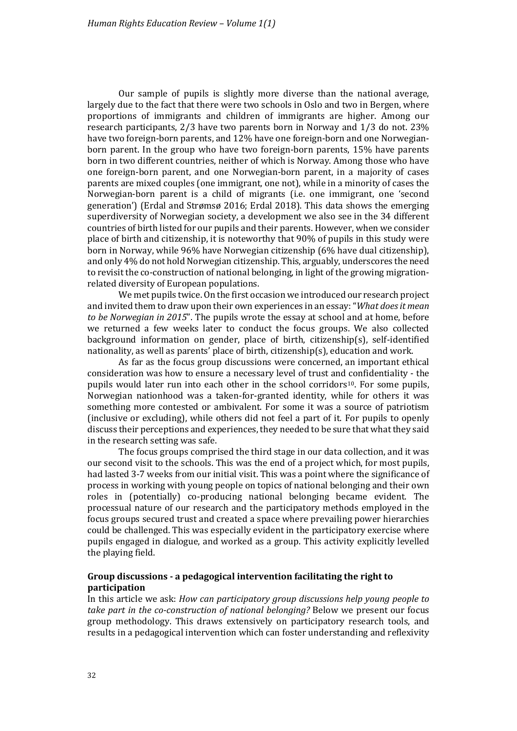Our sample of pupils is slightly more diverse than the national average, largely due to the fact that there were two schools in Oslo and two in Bergen, where proportions of immigrants and children of immigrants are higher. Among our research participants, 2/3 have two parents born in Norway and 1/3 do not. 23% have two foreign-born parents, and 12% have one foreign-born and one Norwegianborn parent. In the group who have two foreign-born parents, 15% have parents born in two different countries, neither of which is Norway. Among those who have one foreign-born parent, and one Norwegian-born parent, in a majority of cases parents are mixed couples (one immigrant, one not), while in a minority of cases the Norwegian-born parent is a child of migrants (i.e. one immigrant, one 'second generation') (Erdal and Strømsø 2016; Erdal 2018). This data shows the emerging superdiversity of Norwegian society, a development we also see in the 34 different countries of birth listed for our pupils and their parents. However, when we consider place of birth and citizenship, it is noteworthy that 90% of pupils in this study were born in Norway, while 96% have Norwegian citizenship (6% have dual citizenship), and only 4% do not hold Norwegian citizenship. This, arguably, underscores the need to revisit the co-construction of national belonging, in light of the growing migrationrelated diversity of European populations.

We met pupils twice. On the first occasion we introduced our research project and invited them to draw upon their own experiences in an essay: "*What does it mean to be Norwegian in 2015*". The pupils wrote the essay at school and at home, before we returned a few weeks later to conduct the focus groups. We also collected background information on gender, place of birth, citizenship(s), self-identified nationality, as well as parents' place of birth, citizenship(s), education and work.

As far as the focus group discussions were concerned, an important ethical consideration was how to ensure a necessary level of trust and confidentiality - the pupils would later run into each other in the school corridors10. For some pupils, Norwegian nationhood was a taken-for-granted identity, while for others it was something more contested or ambivalent. For some it was a source of patriotism (inclusive or excluding), while others did not feel a part of it. For pupils to openly discuss their perceptions and experiences, they needed to be sure that what they said in the research setting was safe.

The focus groups comprised the third stage in our data collection, and it was our second visit to the schools. This was the end of a project which, for most pupils, had lasted 3-7 weeks from our initial visit. This was a point where the significance of process in working with young people on topics of national belonging and their own roles in (potentially) co-producing national belonging became evident. The processual nature of our research and the participatory methods employed in the focus groups secured trust and created a space where prevailing power hierarchies could be challenged. This was especially evident in the participatory exercise where pupils engaged in dialogue, and worked as a group. This activity explicitly levelled the playing field.

## **Group discussions - a pedagogical intervention facilitating the right to participation**

In this article we ask: *How can participatory group discussions help young people to take part in the co-construction of national belonging?* Below we present our focus group methodology. This draws extensively on participatory research tools, and results in a pedagogical intervention which can foster understanding and reflexivity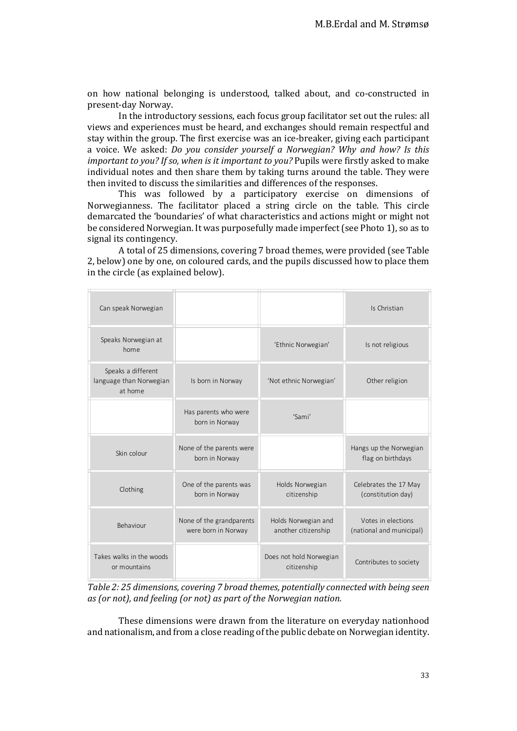on how national belonging is understood, talked about, and co-constructed in present-day Norway.

In the introductory sessions, each focus group facilitator set out the rules: all views and experiences must be heard, and exchanges should remain respectful and stay within the group. The first exercise was an ice-breaker, giving each participant a voice. We asked: *Do you consider yourself a Norwegian? Why and how? Is this important to you? If so, when is it important to you?* Pupils were firstly asked to make individual notes and then share them by taking turns around the table. They were then invited to discuss the similarities and differences of the responses.

This was followed by a participatory exercise on dimensions of Norwegianness. The facilitator placed a string circle on the table. This circle demarcated the 'boundaries' of what characteristics and actions might or might not be considered Norwegian. It was purposefully made imperfect (see Photo 1), so as to signal its contingency.

A total of 25 dimensions, covering 7 broad themes, were provided (see Table 2, below) one by one, on coloured cards, and the pupils discussed how to place them in the circle (as explained below).

| Can speak Norwegian                                      |                                                 |                                            | Is Christian                                   |
|----------------------------------------------------------|-------------------------------------------------|--------------------------------------------|------------------------------------------------|
| Speaks Norwegian at<br>home                              |                                                 | 'Ethnic Norwegian'                         | Is not religious                               |
| Speaks a different<br>language than Norwegian<br>at home | Is born in Norway                               | 'Not ethnic Norwegian'                     | Other religion                                 |
|                                                          | Has parents who were<br>born in Norway          | 'Sami'                                     |                                                |
|                                                          |                                                 |                                            |                                                |
| Skin colour                                              | None of the parents were<br>born in Norway      |                                            | Hangs up the Norwegian<br>flag on birthdays    |
| Clothing                                                 | One of the parents was<br>born in Norway        | Holds Norwegian<br>citizenship             | Celebrates the 17 May<br>(constitution day)    |
| Behaviour                                                | None of the grandparents<br>were born in Norway | Holds Norwegian and<br>another citizenship | Votes in elections<br>(national and municipal) |

*Table 2: 25 dimensions, covering 7 broad themes, potentially connected with being seen as (or not), and feeling (or not) as part of the Norwegian nation.*

These dimensions were drawn from the literature on everyday nationhood and nationalism, and from a close reading of the public debate on Norwegian identity.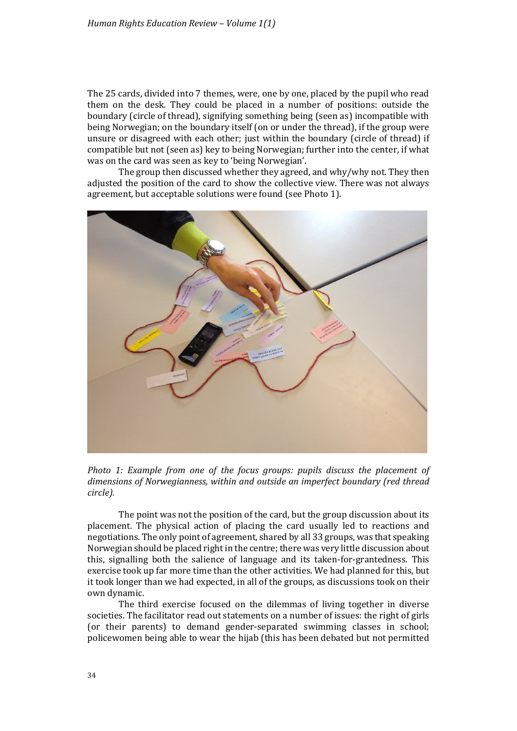The 25 cards, divided into 7 themes, were, one by one, placed by the pupil who read them on the desk. They could be placed in a number of positions: outside the boundary (circle of thread), signifying something being (seen as) incompatible with being Norwegian; on the boundary itself (on or under the thread), if the group were unsure or disagreed with each other; just within the boundary (circle of thread) if compatible but not (seen as) key to being Norwegian; further into the center, if what was on the card was seen as key to 'being Norwegian'.

The group then discussed whether they agreed, and why/why not. They then adjusted the position of the card to show the collective view. There was not always agreement, but acceptable solutions were found (see Photo 1).



*Photo 1: Example from one of the focus groups: pupils discuss the placement of dimensions of Norwegianness, within and outside an imperfect boundary (red thread circle).*

The point was not the position of the card, but the group discussion about its placement. The physical action of placing the card usually led to reactions and negotiations. The only point of agreement, shared by all 33 groups, was that speaking Norwegian should be placed right in the centre; there was very little discussion about this, signalling both the salience of language and its taken-for-grantedness. This exercise took up far more time than the other activities. We had planned for this, but it took longer than we had expected, in all of the groups, as discussions took on their own dynamic.

The third exercise focused on the dilemmas of living together in diverse societies. The facilitator read out statements on a number of issues: the right of girls (or their parents) to demand gender-separated swimming classes in school; policewomen being able to wear the hijab (this has been debated but not permitted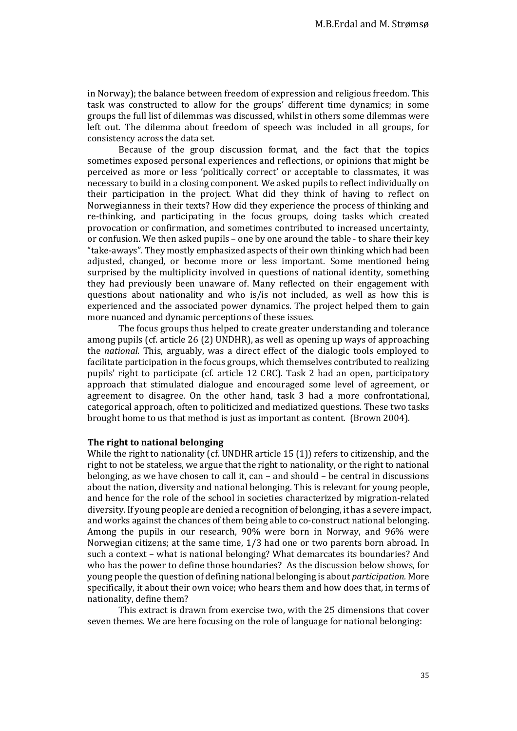in Norway); the balance between freedom of expression and religious freedom. This task was constructed to allow for the groups' different time dynamics; in some groups the full list of dilemmas was discussed, whilst in others some dilemmas were left out. The dilemma about freedom of speech was included in all groups, for consistency across the data set.

Because of the group discussion format, and the fact that the topics sometimes exposed personal experiences and reflections, or opinions that might be perceived as more or less 'politically correct' or acceptable to classmates, it was necessary to build in a closing component. We asked pupils to reflect individually on their participation in the project. What did they think of having to reflect on Norwegianness in their texts? How did they experience the process of thinking and re-thinking, and participating in the focus groups, doing tasks which created provocation or confirmation, and sometimes contributed to increased uncertainty, or confusion. We then asked pupils – one by one around the table - to share their key "take-aways". They mostly emphasized aspects of their own thinking which had been adjusted, changed, or become more or less important. Some mentioned being surprised by the multiplicity involved in questions of national identity, something they had previously been unaware of. Many reflected on their engagement with questions about nationality and who is/is not included, as well as how this is experienced and the associated power dynamics. The project helped them to gain more nuanced and dynamic perceptions of these issues.

The focus groups thus helped to create greater understanding and tolerance among pupils (cf. article 26 (2) UNDHR), as well as opening up ways of approaching the *national*. This, arguably, was a direct effect of the dialogic tools employed to facilitate participation in the focus groups, which themselves contributed to realizing pupils' right to participate (cf. article 12 CRC). Task 2 had an open, participatory approach that stimulated dialogue and encouraged some level of agreement, or agreement to disagree. On the other hand, task 3 had a more confrontational, categorical approach, often to politicized and mediatized questions. These two tasks brought home to us that method is just as important as content. (Brown 2004).

### **The right to national belonging**

While the right to nationality (cf. UNDHR article 15 (1)) refers to citizenship, and the right to not be stateless, we argue that the right to nationality, or the right to national belonging, as we have chosen to call it, can – and should – be central in discussions about the nation, diversity and national belonging. This is relevant for young people, and hence for the role of the school in societies characterized by migration-related diversity. If young people are denied a recognition of belonging, it has a severe impact, and works against the chances of them being able to co-construct national belonging. Among the pupils in our research, 90% were born in Norway, and 96% were Norwegian citizens; at the same time, 1/3 had one or two parents born abroad. In such a context – what is national belonging? What demarcates its boundaries? And who has the power to define those boundaries? As the discussion below shows, for young people the question of defining national belonging is about *participation.* More specifically, it about their own voice; who hears them and how does that, in terms of nationality, define them?

This extract is drawn from exercise two, with the 25 dimensions that cover seven themes. We are here focusing on the role of language for national belonging: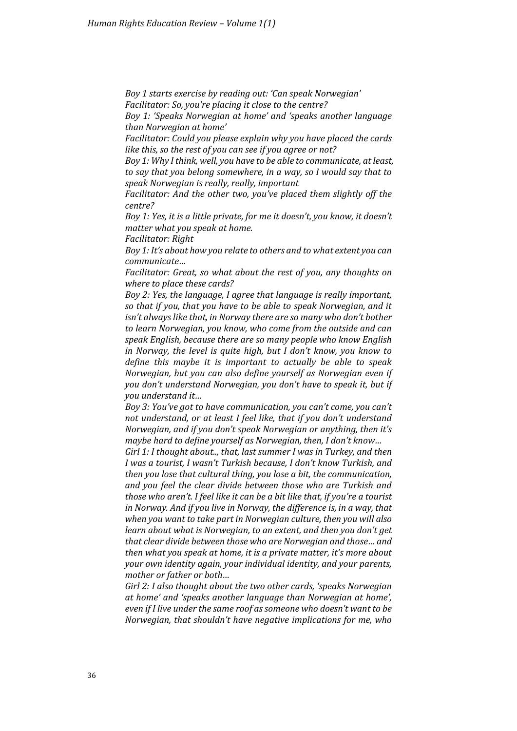*Boy 1 starts exercise by reading out: 'Can speak Norwegian' Facilitator: So, you're placing it close to the centre?*

*Boy 1: 'Speaks Norwegian at home' and 'speaks another language than Norwegian at home'* 

*Facilitator: Could you please explain why you have placed the cards like this, so the rest of you can see if you agree or not?* 

*Boy 1: Why I think, well, you have to be able to communicate, at least, to say that you belong somewhere, in a way, so I would say that to speak Norwegian is really, really, important* 

*Facilitator: And the other two, you've placed them slightly off the centre?* 

*Boy 1: Yes, it is a little private, for me it doesn't, you know, it doesn't matter what you speak at home.* 

*Facilitator: Right* 

*Boy 1: It's about how you relate to others and to what extent you can communicate…*

*Facilitator: Great, so what about the rest of you, any thoughts on where to place these cards?* 

*Boy 2: Yes, the language, I agree that language is really important, so that if you, that you have to be able to speak Norwegian, and it isn't always like that, in Norway there are so many who don't bother to learn Norwegian, you know, who come from the outside and can speak English, because there are so many people who know English in Norway, the level is quite high, but I don't know, you know to define this maybe it is important to actually be able to speak Norwegian, but you can also define yourself as Norwegian even if you don't understand Norwegian, you don't have to speak it, but if you understand it…*

*Boy 3: You've got to have communication, you can't come, you can't not understand, or at least I feel like, that if you don't understand Norwegian, and if you don't speak Norwegian or anything, then it's maybe hard to define yourself as Norwegian, then, I don't know…*

*Girl 1: I thought about.., that, last summer I was in Turkey, and then I was a tourist, I wasn't Turkish because, I don't know Turkish, and then you lose that cultural thing, you lose a bit, the communication, and you feel the clear divide between those who are Turkish and those who aren't. I feel like it can be a bit like that, if you're a tourist in Norway. And if you live in Norway, the difference is, in a way, that when you want to take part in Norwegian culture, then you will also learn about what is Norwegian, to an extent, and then you don't get that clear divide between those who are Norwegian and those… and then what you speak at home, it is a private matter, it's more about your own identity again, your individual identity, and your parents, mother or father or both…*

*Girl 2: I also thought about the two other cards, 'speaks Norwegian at home' and 'speaks another language than Norwegian at home', even if I live under the same roof as someone who doesn't want to be Norwegian, that shouldn't have negative implications for me, who*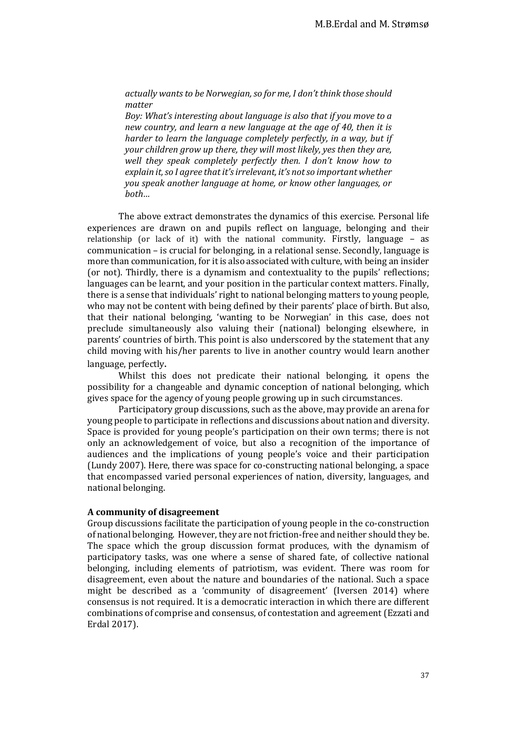*actually wants to be Norwegian, so for me, I don't think those should matter* 

*Boy: What's interesting about language is also that if you move to a new country, and learn a new language at the age of 40, then it is harder to learn the language completely perfectly, in a way, but if your children grow up there, they will most likely, yes then they are, well they speak completely perfectly then. I don't know how to explain it, so I agree that it's irrelevant, it's not so important whether you speak another language at home, or know other languages, or both…* 

The above extract demonstrates the dynamics of this exercise. Personal life experiences are drawn on and pupils reflect on language, belonging and their relationship (or lack of it) with the national community. Firstly, language – as communication – is crucial for belonging, in a relational sense. Secondly, language is more than communication, for it is also associated with culture, with being an insider (or not). Thirdly, there is a dynamism and contextuality to the pupils' reflections; languages can be learnt, and your position in the particular context matters. Finally, there is a sense that individuals' right to national belonging matters to young people, who may not be content with being defined by their parents' place of birth. But also, that their national belonging, 'wanting to be Norwegian' in this case, does not preclude simultaneously also valuing their (national) belonging elsewhere, in parents' countries of birth. This point is also underscored by the statement that any child moving with his/her parents to live in another country would learn another language, perfectly.

Whilst this does not predicate their national belonging, it opens the possibility for a changeable and dynamic conception of national belonging, which gives space for the agency of young people growing up in such circumstances.

Participatory group discussions, such as the above, may provide an arena for young people to participate in reflections and discussions about nation and diversity. Space is provided for young people's participation on their own terms; there is not only an acknowledgement of voice, but also a recognition of the importance of audiences and the implications of young people's voice and their participation (Lundy 2007). Here, there was space for co-constructing national belonging, a space that encompassed varied personal experiences of nation, diversity, languages, and national belonging.

#### **A community of disagreement**

Group discussions facilitate the participation of young people in the co-construction of national belonging. However, they are not friction-free and neither should they be. The space which the group discussion format produces, with the dynamism of participatory tasks, was one where a sense of shared fate, of collective national belonging, including elements of patriotism, was evident. There was room for disagreement, even about the nature and boundaries of the national. Such a space might be described as a 'community of disagreement' (Iversen 2014) where consensus is not required. It is a democratic interaction in which there are different combinations of comprise and consensus, of contestation and agreement (Ezzati and Erdal 2017).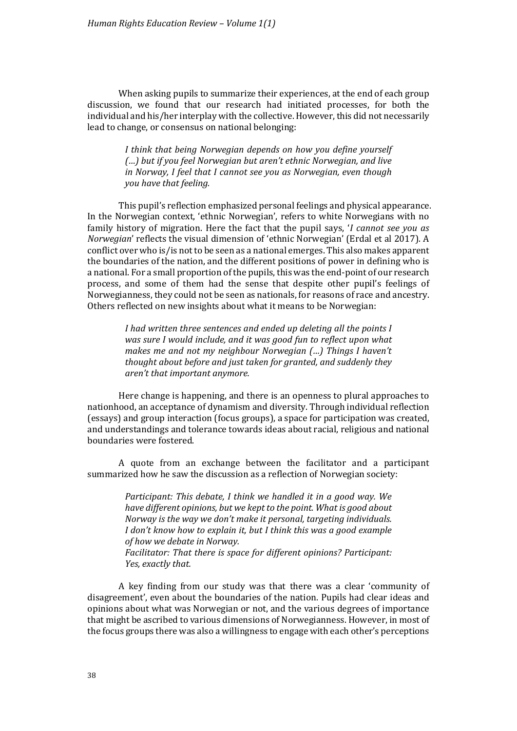When asking pupils to summarize their experiences, at the end of each group discussion, we found that our research had initiated processes, for both the individual and his/her interplay with the collective. However, this did not necessarily lead to change, or consensus on national belonging:

> *I think that being Norwegian depends on how you define yourself (…) but if you feel Norwegian but aren't ethnic Norwegian, and live in Norway, I feel that I cannot see you as Norwegian, even though you have that feeling.*

This pupil's reflection emphasized personal feelings and physical appearance. In the Norwegian context, 'ethnic Norwegian', refers to white Norwegians with no family history of migration. Here the fact that the pupil says, '*I cannot see you as Norwegian*' reflects the visual dimension of 'ethnic Norwegian' (Erdal et al 2017). A conflict over who is/is not to be seen as a national emerges. This also makes apparent the boundaries of the nation, and the different positions of power in defining who is a national. For a small proportion of the pupils, this was the end-point of our research process, and some of them had the sense that despite other pupil's feelings of Norwegianness, they could not be seen as nationals, for reasons of race and ancestry. Others reflected on new insights about what it means to be Norwegian:

> *I had written three sentences and ended up deleting all the points I was sure I would include, and it was good fun to reflect upon what makes me and not my neighbour Norwegian (…) Things I haven't thought about before and just taken for granted, and suddenly they aren't that important anymore.*

Here change is happening, and there is an openness to plural approaches to nationhood, an acceptance of dynamism and diversity. Through individual reflection (essays) and group interaction (focus groups), a space for participation was created, and understandings and tolerance towards ideas about racial, religious and national boundaries were fostered.

A quote from an exchange between the facilitator and a participant summarized how he saw the discussion as a reflection of Norwegian society:

> *Participant: This debate, I think we handled it in a good way. We have different opinions, but we kept to the point. What is good about Norway is the way we don't make it personal, targeting individuals. I don't know how to explain it, but I think this was a good example of how we debate in Norway. Facilitator: That there is space for different opinions? Participant: Yes, exactly that.*

A key finding from our study was that there was a clear 'community of disagreement', even about the boundaries of the nation. Pupils had clear ideas and opinions about what was Norwegian or not, and the various degrees of importance that might be ascribed to various dimensions of Norwegianness. However, in most of the focus groups there was also a willingness to engage with each other's perceptions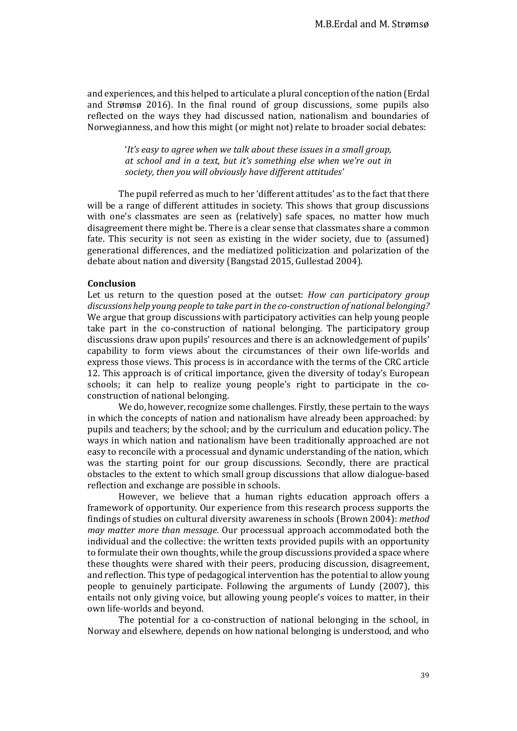and experiences, and this helped to articulate a plural conception of the nation (Erdal and Strømsø 2016). In the final round of group discussions, some pupils also reflected on the ways they had discussed nation, nationalism and boundaries of Norwegianness, and how this might (or might not) relate to broader social debates:

> '*It's easy to agree when we talk about these issues in a small group, at school and in a text, but it's something else when we're out in society, then you will obviously have different attitudes'*

The pupil referred as much to her 'different attitudes' as to the fact that there will be a range of different attitudes in society. This shows that group discussions with one's classmates are seen as (relatively) safe spaces, no matter how much disagreement there might be. There is a clear sense that classmates share a common fate. This security is not seen as existing in the wider society, due to (assumed) generational differences, and the mediatized politicization and polarization of the debate about nation and diversity (Bangstad 2015, Gullestad 2004).

## **Conclusion**

Let us return to the question posed at the outset: *How can participatory group discussions help young people to take part in the co-construction of national belonging?* We argue that group discussions with participatory activities can help young people take part in the co-construction of national belonging. The participatory group discussions draw upon pupils' resources and there is an acknowledgement of pupils' capability to form views about the circumstances of their own life-worlds and express those views. This process is in accordance with the terms of the CRC article 12. This approach is of critical importance, given the diversity of today's European schools; it can help to realize young people's right to participate in the coconstruction of national belonging.

We do, however, recognize some challenges. Firstly, these pertain to the ways in which the concepts of nation and nationalism have already been approached: by pupils and teachers; by the school; and by the curriculum and education policy. The ways in which nation and nationalism have been traditionally approached are not easy to reconcile with a processual and dynamic understanding of the nation, which was the starting point for our group discussions. Secondly, there are practical obstacles to the extent to which small group discussions that allow dialogue-based reflection and exchange are possible in schools.

However, we believe that a human rights education approach offers a framework of opportunity. Our experience from this research process supports the findings of studies on cultural diversity awareness in schools (Brown 2004): *method may matter more than message*. Our processual approach accommodated both the individual and the collective: the written texts provided pupils with an opportunity to formulate their own thoughts, while the group discussions provided a space where these thoughts were shared with their peers, producing discussion, disagreement, and reflection. This type of pedagogical intervention has the potential to allow young people to genuinely participate. Following the arguments of Lundy (2007), this entails not only giving voice, but allowing young people's voices to matter, in their own life-worlds and beyond.

The potential for a co-construction of national belonging in the school, in Norway and elsewhere, depends on how national belonging is understood, and who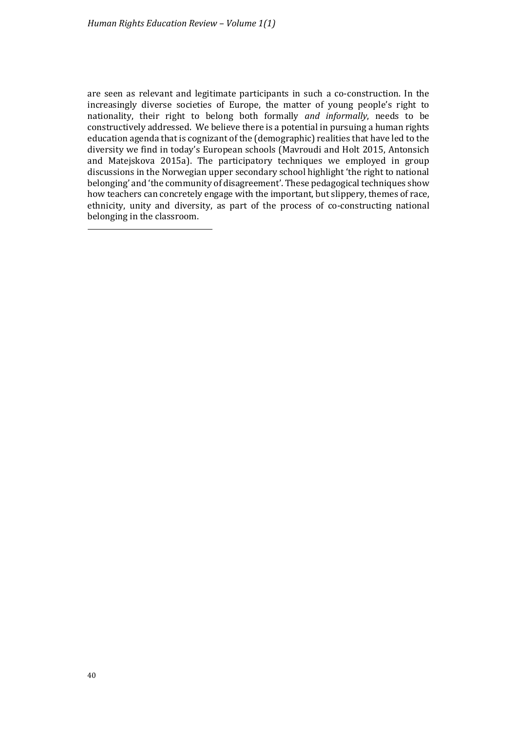are seen as relevant and legitimate participants in such a co-construction. In the increasingly diverse societies of Europe, the matter of young people's right to nationality, their right to belong both formally *and informally*, needs to be constructively addressed. We believe there is a potential in pursuing a human rights education agenda that is cognizant of the (demographic) realities that have led to the diversity we find in today's European schools (Mavroudi and Holt 2015, Antonsich and Matejskova 2015a). The participatory techniques we employed in group discussions in the Norwegian upper secondary school highlight 'the right to national belonging' and 'the community of disagreement'. These pedagogical techniques show how teachers can concretely engage with the important, but slippery, themes of race, ethnicity, unity and diversity, as part of the process of co-constructing national belonging in the classroom.

<u>.</u>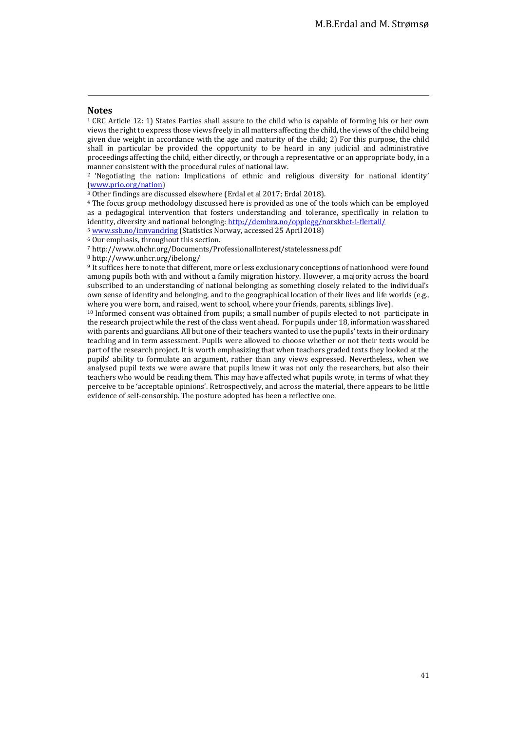#### **Notes**

<u>.</u>

<sup>1</sup> CRC Article 12: 1) States Parties shall assure to the child who is capable of forming his or her own views the right to express those views freely in all matters affecting the child, the views of the child being given due weight in accordance with the age and maturity of the child; 2) For this purpose, the child shall in particular be provided the opportunity to be heard in any judicial and administrative proceedings affecting the child, either directly, or through a representative or an appropriate body, in a manner consistent with the procedural rules of national law.

<sup>2</sup> 'Negotiating the nation: Implications of ethnic and religious diversity for national identity' [\(www.prio.org/nation\)](http://www.prio.org/nation)

<sup>4</sup> The focus group methodology discussed here is provided as one of the tools which can be employed as a pedagogical intervention that fosters understanding and tolerance, specifically in relation to identity, diversity and national belonging[: http://dembra.no/opplegg/norskhet-i-flertall/](http://dembra.no/opplegg/norskhet-i-flertall/)

<sup>6</sup> Our emphasis, throughout this section.

<sup>7</sup> http://www.ohchr.org/Documents/ProfessionalInterest/statelessness.pdf

<sup>8</sup> http://www.unhcr.org/ibelong/

<sup>9</sup> It suffices here to note that different, more or less exclusionary conceptions of nationhood were found among pupils both with and without a family migration history. However, a majority across the board subscribed to an understanding of national belonging as something closely related to the individual's own sense of identity and belonging, and to the geographical location of their lives and life worlds (e.g., where you were born, and raised, went to school, where your friends, parents, siblings live).

<sup>10</sup> Informed consent was obtained from pupils; a small number of pupils elected to not participate in the research project while the rest of the class went ahead. For pupils under 18, information was shared with parents and guardians. All but one of their teachers wanted to use the pupils' texts in their ordinary teaching and in term assessment. Pupils were allowed to choose whether or not their texts would be part of the research project. It is worth emphasizing that when teachers graded texts they looked at the pupils' ability to formulate an argument, rather than any views expressed. Nevertheless, when we analysed pupil texts we were aware that pupils knew it was not only the researchers, but also their teachers who would be reading them. This may have affected what pupils wrote, in terms of what they perceive to be 'acceptable opinions'. Retrospectively, and across the material, there appears to be little evidence of self-censorship. The posture adopted has been a reflective one.

<sup>3</sup> Other findings are discussed elsewhere (Erdal et al 2017; Erdal 2018).

<sup>5</sup> [www.ssb.no/innvandring](http://www.ssb.no/innvandring) (Statistics Norway, accessed 25 April 2018)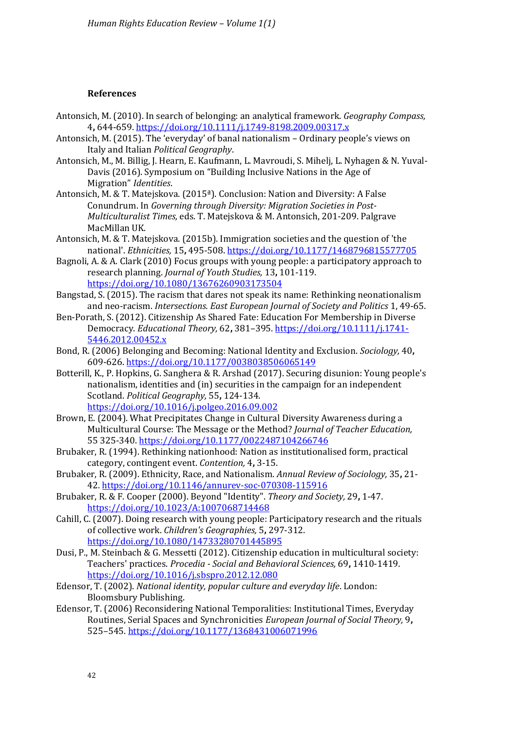## **References**

- Antonsich, M. (2010). In search of belonging: an analytical framework. *Geography Compass,* 4**,** 644-659. <https://doi.org/10.1111/j.1749-8198.2009.00317.x>
- Antonsich, M. (2015). The 'everyday' of banal nationalism Ordinary people's views on Italy and Italian *Political Geography*.
- Antonsich, M., M. Billig, J. Hearn, E. Kaufmann, L. Mavroudi, S. Mihelj, L. Nyhagen & N. Yuval-Davis (2016). Symposium on "Building Inclusive Nations in the Age of Migration" *Identities*.
- Antonsich, M. & T. Matejskova. (2015ª). Conclusion: Nation and Diversity: A False Conundrum. In *Governing through Diversity: Migration Societies in Post-Multiculturalist Times,* eds. T. Matejskova & M. Antonsich, 201-209. Palgrave MacMillan UK.
- Antonsich, M. & T. Matejskova. (2015b). Immigration societies and the question of 'the national'. *Ethnicities,* 15**,** 495-508. <https://doi.org/10.1177/1468796815577705>
- Bagnoli, A. & A. Clark (2010) Focus groups with young people: a participatory approach to research planning. *Journal of Youth Studies,* 13**,** 101-119. <https://doi.org/10.1080/13676260903173504>
- Bangstad, S. (2015). The racism that dares not speak its name: Rethinking neonationalism and neo-racism. *Intersections. East European Journal of Society and Politics* 1, 49-65.
- Ben-Porath, S. (2012). Citizenship As Shared Fate: Education For Membership in Diverse Democracy. *Educational Theory,* 62**,** 381–395. [https://doi.org/10.1111/j.1741-](https://doi.org/10.1111/j.1741-5446.2012.00452.x) [5446.2012.00452.x](https://doi.org/10.1111/j.1741-5446.2012.00452.x)
- Bond, R. (2006) Belonging and Becoming: National Identity and Exclusion. *Sociology,* 40**,** 609-626. <https://doi.org/10.1177/0038038506065149>
- Botterill, K., P. Hopkins, G. Sanghera & R. Arshad (2017). Securing disunion: Young people's nationalism, identities and (in) securities in the campaign for an independent Scotland. *Political Geography,* 55**,** 124-134. <https://doi.org/10.1016/j.polgeo.2016.09.002>
- Brown, E. (2004). What Precipitates Change in Cultural Diversity Awareness during a Multicultural Course: The Message or the Method? *Journal of Teacher Education,* 55 325-340. <https://doi.org/10.1177/0022487104266746>
- Brubaker, R. (1994). Rethinking nationhood: Nation as institutionalised form, practical category, contingent event. *Contention,* 4**,** 3-15.
- Brubaker, R. (2009). Ethnicity, Race, and Nationalism. *Annual Review of Sociology,* 35**,** 21- 42. <https://doi.org/10.1146/annurev-soc-070308-115916>
- Brubaker, R. & F. Cooper (2000). Beyond "Identity". *Theory and Society,* 29**,** 1-47. <https://doi.org/10.1023/A:1007068714468>
- Cahill, C. (2007). Doing research with young people: Participatory research and the rituals of collective work. *Children's Geographies,* 5**,** 297-312. <https://doi.org/10.1080/14733280701445895>
- Dusi, P., M. Steinbach & G. Messetti (2012). Citizenship education in multicultural society: Teachers' practices. *Procedia - Social and Behavioral Sciences,* 69**,** 1410-1419. <https://doi.org/10.1016/j.sbspro.2012.12.080>
- Edensor, T. (2002). *National identity, popular culture and everyday life*. London: Bloomsbury Publishing.
- Edensor, T. (2006) Reconsidering National Temporalities: Institutional Times, Everyday Routines, Serial Spaces and Synchronicities *European Journal of Social Theory,* 9**,** 525–545. <https://doi.org/10.1177/1368431006071996>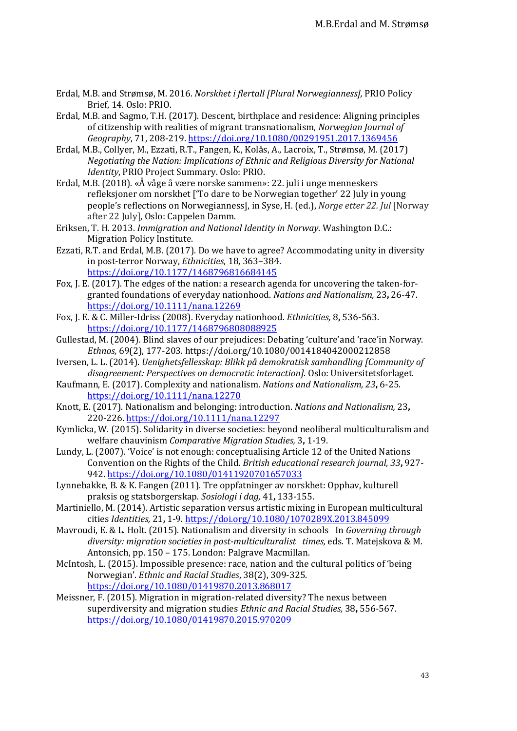- Erdal, M.B. and Strømsø, M. 2016. *Norskhet i flertall [Plural Norwegianness],* PRIO Policy Brief, 14. Oslo: PRIO.
- Erdal, M.B. and Sagmo, T.H. (2017). Descent, birthplace and residence: Aligning principles of citizenship with realities of migrant transnationalism, *Norwegian Journal of Geography*, 71, 208-219. <https://doi.org/10.1080/00291951.2017.1369456>
- Erdal, M.B., Collyer, M., Ezzati, R.T., Fangen, K., Kolås, A., Lacroix, T., Strømsø, M. (2017) *Negotiating the Nation: Implications of Ethnic and Religious Diversity for National Identity*, PRIO Project Summary. Oslo: PRIO.
- Erdal, M.B. (2018). «Å våge å være norske sammen»: 22. juli i unge menneskers refleksjoner om norskhet ['To dare to be Norwegian together' 22 July in young people's reflections on Norwegianness], in Syse, H. (ed.), *Norge etter 22. Jul* [Norway after 22 July], Oslo: Cappelen Damm.
- Eriksen, T. H. 2013. *Immigration and National Identity in Norway*. Washington D.C.: Migration Policy Institute.
- Ezzati, R.T. and Erdal, M.B. (2017). Do we have to agree? Accommodating unity in diversity in post-terror Norway, *Ethnicities*, 18, 363–384. <https://doi.org/10.1177/1468796816684145>
- Fox, J. E. (2017). The edges of the nation: a research agenda for uncovering the taken-forgranted foundations of everyday nationhood. *Nations and Nationalism,* 23**,** 26-47. <https://doi.org/10.1111/nana.12269>
- Fox, J. E. & C. Miller-Idriss (2008). Everyday nationhood. *Ethnicities,* 8**,** 536-563. <https://doi.org/10.1177/1468796808088925>
- Gullestad, M. (2004). Blind slaves of our prejudices: Debating 'culture'and 'race'in Norway. *Ethnos,* 69(2), 177-203. https://doi.org/10.1080/0014184042000212858
- Iversen, L. L. (2014). *Uenighetsfellesskap: Blikk på demokratisk samhandling [Community of disagreement: Perspectives on democratic interaction]*. Oslo: Universitetsforlaget.
- Kaufmann, E. (2017). Complexity and nationalism. *Nations and Nationalism, 23***,** 6-25. <https://doi.org/10.1111/nana.12270>
- Knott, E. (2017). Nationalism and belonging: introduction. *Nations and Nationalism,* 23**,** 220-226. <https://doi.org/10.1111/nana.12297>
- Kymlicka, W. (2015). Solidarity in diverse societies: beyond neoliberal multiculturalism and welfare chauvinism *Comparative Migration Studies,* 3**,** 1-19.
- Lundy, L. (2007). 'Voice' is not enough: conceptualising Article 12 of the United Nations Convention on the Rights of the Child. *British educational research journal, 33***,** 927- 942. <https://doi.org/10.1080/01411920701657033>
- Lynnebakke, B. & K. Fangen (2011). Tre oppfatninger av norskhet: Opphav, kulturell praksis og statsborgerskap. *Sosiologi i dag,* 41**,** 133-155.
- Martiniello, M. (2014). Artistic separation versus artistic mixing in European multicultural cities *Identities,* 21**,** 1-9. <https://doi.org/10.1080/1070289X.2013.845099>
- Mavroudi, E. & L. Holt. (2015). Nationalism and diversity in schools In *Governing through diversity: migration societies in post-multiculturalist times,* eds. T. Matejskova & M. Antonsich, pp. 150 – 175. London: Palgrave Macmillan.
- McIntosh, L. (2015). Impossible presence: race, nation and the cultural politics of 'being Norwegian'. *Ethnic and Racial Studies*, 38(2), 309-325. <https://doi.org/10.1080/01419870.2013.868017>
- Meissner, F. (2015). Migration in migration-related diversity? The nexus between superdiversity and migration studies *Ethnic and Racial Studies,* 38**,** 556-567. <https://doi.org/10.1080/01419870.2015.970209>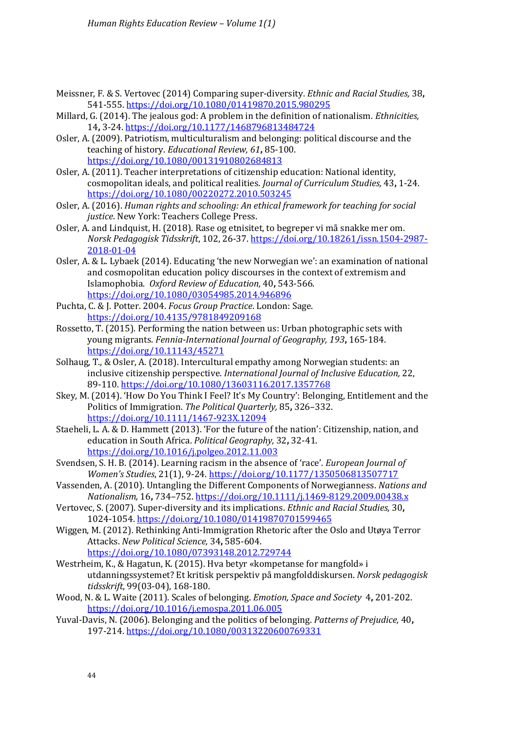- Meissner, F. & S. Vertovec (2014) Comparing super-diversity. *Ethnic and Racial Studies,* 38**,** 541-555. <https://doi.org/10.1080/01419870.2015.980295>
- Millard, G. (2014). The jealous god: A problem in the definition of nationalism. *Ethnicities,* 14**,** 3-24. <https://doi.org/10.1177/1468796813484724>
- Osler, A. (2009). Patriotism, multiculturalism and belonging: political discourse and the teaching of history. *Educational Review, 61***,** 85-100. <https://doi.org/10.1080/00131910802684813>
- Osler, A. (2011). Teacher interpretations of citizenship education: National identity, cosmopolitan ideals, and political realities. *Journal of Curriculum Studies,* 43**,** 1-24. <https://doi.org/10.1080/00220272.2010.503245>
- Osler, A. (2016). *Human rights and schooling: An ethical framework for teaching for social justice*. New York: Teachers College Press.
- Osler, A. and Lindquist, H. (2018). Rase og etnisitet, to begreper vi må snakke mer om. *Norsk Pedagogisk Tidsskrift*, 102, 26-37. [https://doi.org/10.18261/issn.1504-2987-](https://doi.org/10.18261/issn.1504-2987-2018-01-04) [2018-01-04](https://doi.org/10.18261/issn.1504-2987-2018-01-04)
- Osler, A. & L. Lybaek (2014). Educating 'the new Norwegian we': an examination of national and cosmopolitan education policy discourses in the context of extremism and Islamophobia. *Oxford Review of Education,* 40**,** 543-566. <https://doi.org/10.1080/03054985.2014.946896>
- Puchta, C. & J. Potter. 2004. *Focus Group Practice*. London: Sage. <https://doi.org/10.4135/9781849209168>
- Rossetto, T. (2015). Performing the nation between us: Urban photographic sets with young migrants. *Fennia-International Journal of Geography, 193***,** 165-184. <https://doi.org/10.11143/45271>
- Solhaug, T., & Osler, A. (2018). Intercultural empathy among Norwegian students: an inclusive citizenship perspective. *International Journal of Inclusive Education,* 22, 89-110. <https://doi.org/10.1080/13603116.2017.1357768>
- Skey, M. (2014). 'How Do You Think I Feel? It's My Country': Belonging, Entitlement and the Politics of Immigration. *The Political Quarterly,* 85**,** 326–332. <https://doi.org/10.1111/1467-923X.12094>
- Staeheli, L. A. & D. Hammett (2013). 'For the future of the nation': Citizenship, nation, and education in South Africa. *Political Geography,* 32**,** 32-41. <https://doi.org/10.1016/j.polgeo.2012.11.003>
- Svendsen, S. H. B. (2014). Learning racism in the absence of 'race'. *European Journal of Women's Studies*, 21(1), 9-24. <https://doi.org/10.1177/1350506813507717>
- Vassenden, A. (2010). Untangling the Different Components of Norwegianness. *Nations and Nationalism,* 16**,** 734–752. <https://doi.org/10.1111/j.1469-8129.2009.00438.x>
- Vertovec, S. (2007). Super-diversity and its implications. *Ethnic and Racial Studies,* 30**,** 1024-1054. <https://doi.org/10.1080/01419870701599465>
- Wiggen, M. (2012). Rethinking Anti-Immigration Rhetoric after the Oslo and Utøya Terror Attacks. *New Political Science,* 34**,** 585-604. <https://doi.org/10.1080/07393148.2012.729744>
- Westrheim, K., & Hagatun, K. (2015). Hva betyr «kompetanse for mangfold» i utdanningssystemet? Et kritisk perspektiv på mangfolddiskursen. *Norsk pedagogisk tidsskrift*, 99(03-04), 168-180.
- Wood, N. & L. Waite (2011). Scales of belonging. *Emotion, Space and Society* 4**,** 201-202. <https://doi.org/10.1016/j.emospa.2011.06.005>
- Yuval-Davis, N. (2006). Belonging and the politics of belonging. *Patterns of Prejudice,* 40**,** 197-214. <https://doi.org/10.1080/00313220600769331>